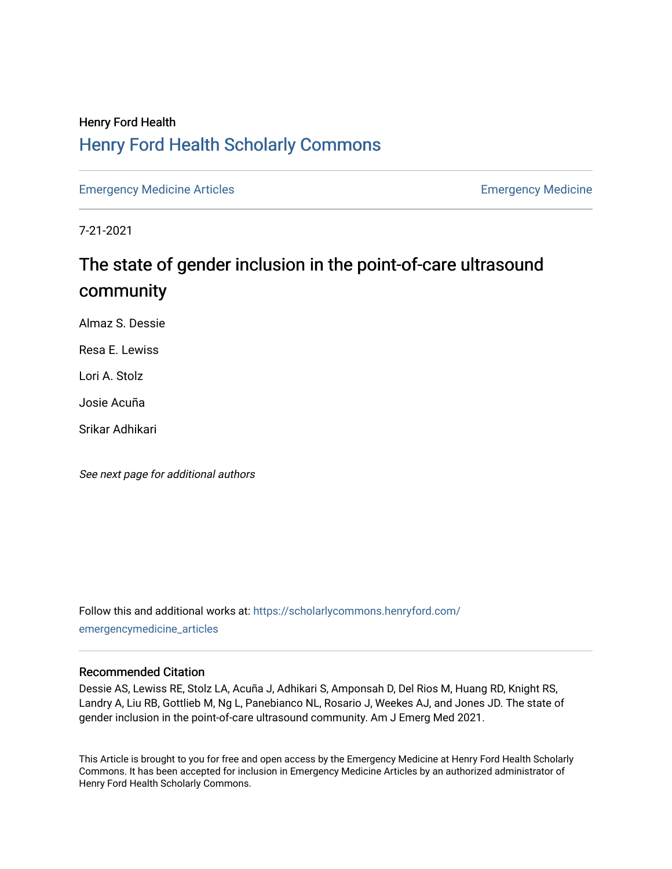# Henry Ford Health [Henry Ford Health Scholarly Commons](https://scholarlycommons.henryford.com/)

[Emergency Medicine Articles](https://scholarlycommons.henryford.com/emergencymedicine_articles) **Emergency Medicine** 

7-21-2021

# The state of gender inclusion in the point-of-care ultrasound community

Almaz S. Dessie

Resa E. Lewiss

Lori A. Stolz

Josie Acuña

Srikar Adhikari

See next page for additional authors

Follow this and additional works at: [https://scholarlycommons.henryford.com/](https://scholarlycommons.henryford.com/emergencymedicine_articles?utm_source=scholarlycommons.henryford.com%2Femergencymedicine_articles%2F233&utm_medium=PDF&utm_campaign=PDFCoverPages) [emergencymedicine\\_articles](https://scholarlycommons.henryford.com/emergencymedicine_articles?utm_source=scholarlycommons.henryford.com%2Femergencymedicine_articles%2F233&utm_medium=PDF&utm_campaign=PDFCoverPages) 

## Recommended Citation

Dessie AS, Lewiss RE, Stolz LA, Acuña J, Adhikari S, Amponsah D, Del Rios M, Huang RD, Knight RS, Landry A, Liu RB, Gottlieb M, Ng L, Panebianco NL, Rosario J, Weekes AJ, and Jones JD. The state of gender inclusion in the point-of-care ultrasound community. Am J Emerg Med 2021.

This Article is brought to you for free and open access by the Emergency Medicine at Henry Ford Health Scholarly Commons. It has been accepted for inclusion in Emergency Medicine Articles by an authorized administrator of Henry Ford Health Scholarly Commons.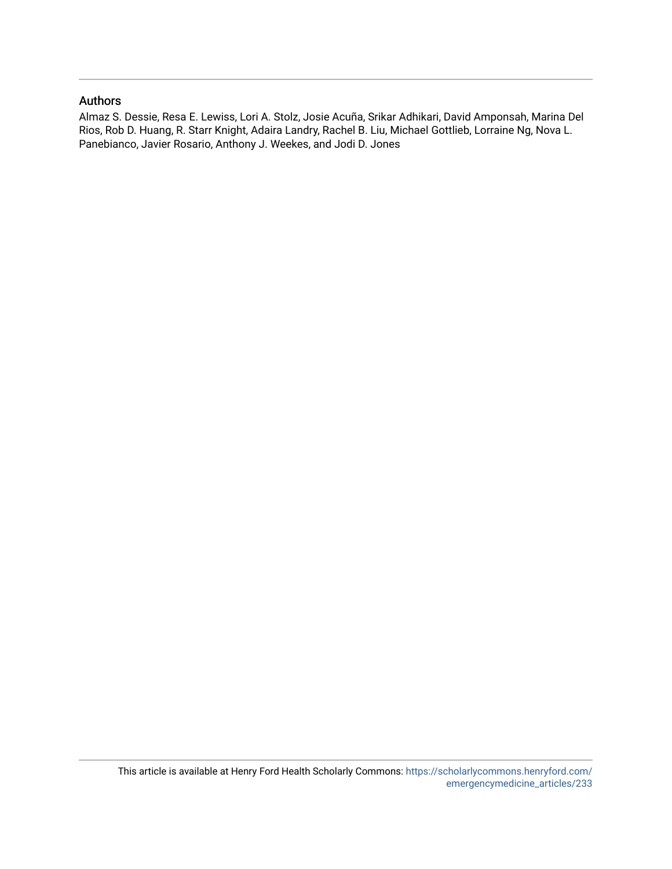## Authors

Almaz S. Dessie, Resa E. Lewiss, Lori A. Stolz, Josie Acuña, Srikar Adhikari, David Amponsah, Marina Del Rios, Rob D. Huang, R. Starr Knight, Adaira Landry, Rachel B. Liu, Michael Gottlieb, Lorraine Ng, Nova L. Panebianco, Javier Rosario, Anthony J. Weekes, and Jodi D. Jones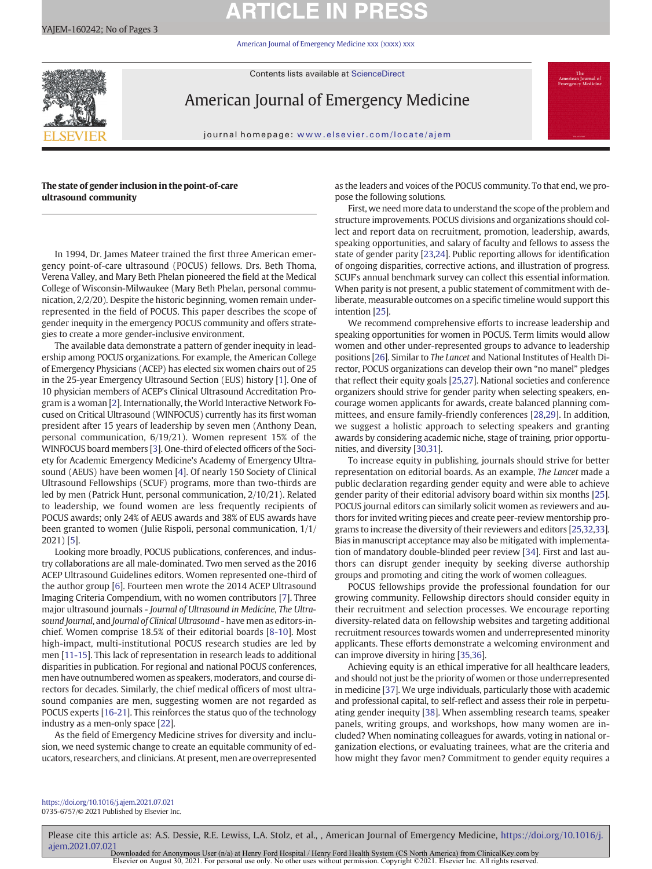# **ARTICLE IN PRESS**

[American Journal of Emergency Medicine xxx \(xxxx\) xxx](https://doi.org/10.1016/j.ajem.2021.07.021)

Contents lists available at ScienceDirect



American Journal of Emergency Medicine

journal homepage: <www.elsevier.com/locate/ajem>

#### The state of gender inclusion in the point-of-care ultrasound community

In 1994, Dr. James Mateer trained the first three American emergency point-of-care ultrasound (POCUS) fellows. Drs. Beth Thoma, Verena Valley, and Mary Beth Phelan pioneered the field at the Medical College of Wisconsin-Milwaukee (Mary Beth Phelan, personal communication, 2/2/20). Despite the historic beginning, women remain underrepresented in the field of POCUS. This paper describes the scope of gender inequity in the emergency POCUS community and offers strategies to create a more gender-inclusive environment.

The available data demonstrate a pattern of gender inequity in leadership among POCUS organizations. For example, the American College of Emergency Physicians (ACEP) has elected six women chairs out of 25 in the 25-year Emergency Ultrasound Section (EUS) history [[1](#page-3-0)]. One of 10 physician members of ACEP's Clinical Ultrasound Accreditation Program is a woman [\[2\]](#page-3-0). Internationally, the World Interactive Network Focused on Critical Ultrasound (WINFOCUS) currently has its first woman president after 15 years of leadership by seven men (Anthony Dean, personal communication, 6/19/21). Women represent 15% of the WINFOCUS board members [[3](#page-3-0)]. One-third of elected officers of the Society for Academic Emergency Medicine's Academy of Emergency Ultrasound (AEUS) have been women [[4](#page-3-0)]. Of nearly 150 Society of Clinical Ultrasound Fellowships (SCUF) programs, more than two-thirds are led by men (Patrick Hunt, personal communication, 2/10/21). Related to leadership, we found women are less frequently recipients of POCUS awards; only 24% of AEUS awards and 38% of EUS awards have been granted to women (Julie Rispoli, personal communication, 1/1/ 2021) [\[5\]](#page-3-0).

Looking more broadly, POCUS publications, conferences, and industry collaborations are all male-dominated. Two men served as the 2016 ACEP Ultrasound Guidelines editors. Women represented one-third of the author group [\[6\]](#page-3-0). Fourteen men wrote the 2014 ACEP Ultrasound Imaging Criteria Compendium, with no women contributors [[7](#page-3-0)]. Three major ultrasound journals - Journal of Ultrasound in Medicine, The Ultrasound Journal, and Journal of Clinical Ultrasound - have men as editors-inchief. Women comprise 18.5% of their editorial boards [\[8-10](#page-3-0)]. Most high-impact, multi-institutional POCUS research studies are led by men [\[11-15\]](#page-3-0). This lack of representation in research leads to additional disparities in publication. For regional and national POCUS conferences, men have outnumbered women as speakers, moderators, and course directors for decades. Similarly, the chief medical officers of most ultrasound companies are men, suggesting women are not regarded as POCUS experts [\[16-21\]](#page-3-0). This reinforces the status quo of the technology industry as a men-only space [[22\]](#page-3-0).

As the field of Emergency Medicine strives for diversity and inclusion, we need systemic change to create an equitable community of educators, researchers, and clinicians. At present, men are overrepresented as the leaders and voices of the POCUS community. To that end, we propose the following solutions.

First, we need more data to understand the scope of the problem and structure improvements. POCUS divisions and organizations should collect and report data on recruitment, promotion, leadership, awards, speaking opportunities, and salary of faculty and fellows to assess the state of gender parity [\[23](#page-3-0),[24\]](#page-3-0). Public reporting allows for identification of ongoing disparities, corrective actions, and illustration of progress. SCUF's annual benchmark survey can collect this essential information. When parity is not present, a public statement of commitment with deliberate, measurable outcomes on a specific timeline would support this intention [[25](#page-3-0)].

We recommend comprehensive efforts to increase leadership and speaking opportunities for women in POCUS. Term limits would allow women and other under-represented groups to advance to leadership positions [[26\]](#page-3-0). Similar to The Lancet and National Institutes of Health Director, POCUS organizations can develop their own "no manel" pledges that reflect their equity goals [\[25,27\]](#page-3-0). National societies and conference organizers should strive for gender parity when selecting speakers, encourage women applicants for awards, create balanced planning committees, and ensure family-friendly conferences [[28,29\]](#page-3-0). In addition, we suggest a holistic approach to selecting speakers and granting awards by considering academic niche, stage of training, prior opportunities, and diversity [\[30,31\]](#page-3-0).

To increase equity in publishing, journals should strive for better representation on editorial boards. As an example, The Lancet made a public declaration regarding gender equity and were able to achieve gender parity of their editorial advisory board within six months [[25\]](#page-3-0). POCUS journal editors can similarly solicit women as reviewers and authors for invited writing pieces and create peer-review mentorship programs to increase the diversity of their reviewers and editors [\[25,32,33\]](#page-3-0). Bias in manuscript acceptance may also be mitigated with implementation of mandatory double-blinded peer review [\[34](#page-3-0)]. First and last authors can disrupt gender inequity by seeking diverse authorship groups and promoting and citing the work of women colleagues.

POCUS fellowships provide the professional foundation for our growing community. Fellowship directors should consider equity in their recruitment and selection processes. We encourage reporting diversity-related data on fellowship websites and targeting additional recruitment resources towards women and underrepresented minority applicants. These efforts demonstrate a welcoming environment and can improve diversity in hiring [[35,36](#page-3-0)].

Achieving equity is an ethical imperative for all healthcare leaders, and should not just be the priority of women or those underrepresented in medicine [\[37](#page-3-0)]. We urge individuals, particularly those with academic and professional capital, to self-reflect and assess their role in perpetuating gender inequity [[38\]](#page-3-0). When assembling research teams, speaker panels, writing groups, and workshops, how many women are included? When nominating colleagues for awards, voting in national organization elections, or evaluating trainees, what are the criteria and how might they favor men? Commitment to gender equity requires a

<https://doi.org/10.1016/j.ajem.2021.07.021> 0735-6757/© 2021 Published by Elsevier Inc.

Please cite this article as: A.S. Dessie, R.E. Lewiss, L.A. Stolz, et al., , American Journal of Emergency Medicine, [https://doi.org/10.1016/j.](https://doi.org/10.1016/j.ajem.2021.07.021) [ajem.2021.07.021](https://doi.org/10.1016/j.ajem.2021.07.021)<br>Downloaded for Anonymous User (n/a) at Henry Ford Hospital / Henry Ford Health System (CS North America) from ClinicalKey.com by<br>Elsevier on August 30, 2021. For personal use only. No other uses without pe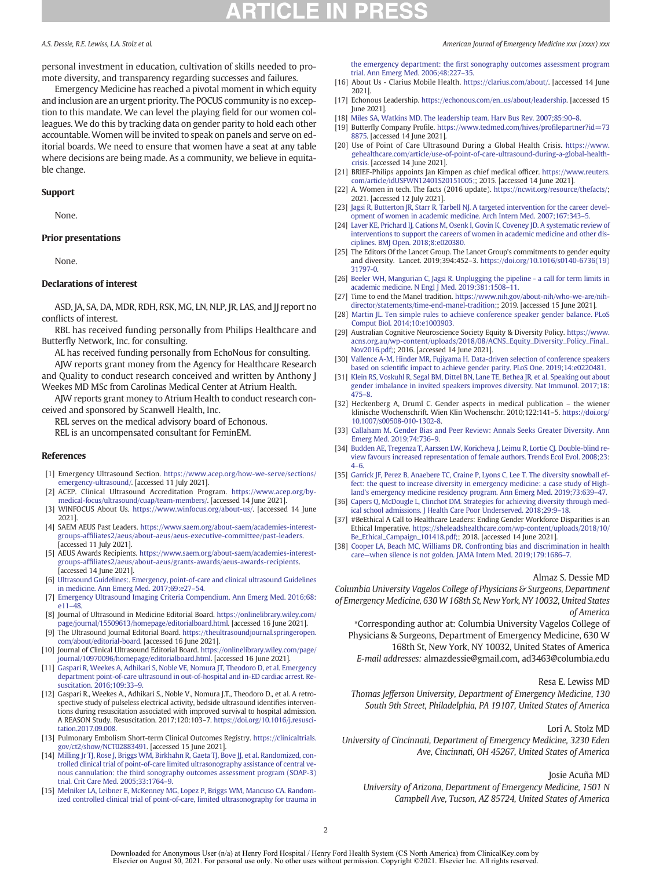# **ICLE IN**

personal investment in education, cultivation of skills needed to promote diversity, and transparency regarding successes and failures.

Emergency Medicine has reached a pivotal moment in which equity and inclusion are an urgent priority. The POCUS community is no exception to this mandate. We can level the playing field for our women colleagues. We do this by tracking data on gender parity to hold each other accountable. Women will be invited to speak on panels and serve on editorial boards. We need to ensure that women have a seat at any table where decisions are being made. As a community, we believe in equitable change.

#### Support

None.

#### Prior presentations

None.

#### Declarations of interest

ASD, JA, SA, DA, MDR, RDH, RSK, MG, LN, NLP, JR, LAS, and JJ report no conflicts of interest.

RBL has received funding personally from Philips Healthcare and Butterfly Network, Inc. for consulting.

AL has received funding personally from EchoNous for consulting.

AJW reports grant money from the Agency for Healthcare Research and Quality to conduct research conceived and written by Anthony J Weekes MD MSc from Carolinas Medical Center at Atrium Health.

AJW reports grant money to Atrium Health to conduct research conceived and sponsored by Scanwell Health, Inc.

REL serves on the medical advisory board of Echonous.

REL is an uncompensated consultant for FeminEM.

#### References

- [1] Emergency Ultrasound Section. [https://www.acep.org/how-we-serve/sections/](https://www.acep.org/how-we-serve/sections/emergency-ultrasound/) [emergency-ultrasound/.](https://www.acep.org/how-we-serve/sections/emergency-ultrasound/) [accessed 11 July 2021].
- [2] ACEP. Clinical Ultrasound Accreditation Program. [https://www.acep.org/by](https://www.acep.org/by-medical-focus/ultrasound/cuap/team-members/)[medical-focus/ultrasound/cuap/team-members/](https://www.acep.org/by-medical-focus/ultrasound/cuap/team-members/). [accessed 14 June 2021].
- [3] WINFOCUS About Us. [https://www.winfocus.org/about-us/.](https://www.winfocus.org/about-us/) [accessed 14 June 2021].
- [4] SAEM AEUS Past Leaders. [https://www.saem.org/about-saem/academies-interest](https://www.saem.org/about-saem/academies-interest-groups-affiliates2/aeus/about-aeus/aeus-executive-committee/past-leaders)groups-affi[liates2/aeus/about-aeus/aeus-executive-committee/past-leaders](https://www.saem.org/about-saem/academies-interest-groups-affiliates2/aeus/about-aeus/aeus-executive-committee/past-leaders). [accessed 11 July 2021].
- [5] AEUS Awards Recipients. [https://www.saem.org/about-saem/academies-interest](https://www.saem.org/about-saem/academies-interest-groups-affiliates2/aeus/about-aeus/grants-awards/aeus-awards-recipients)groups-affi[liates2/aeus/about-aeus/grants-awards/aeus-awards-recipients](https://www.saem.org/about-saem/academies-interest-groups-affiliates2/aeus/about-aeus/grants-awards/aeus-awards-recipients). [accessed 14 June 2021].
- [6] [Ultrasound Guidelines:. Emergency, point-of-care and clinical ultrasound Guidelines](http://refhub.elsevier.com/S0735-6757(21)00587-8/rf0030) [in medicine. Ann Emerg Med. 2017;69:e27](http://refhub.elsevier.com/S0735-6757(21)00587-8/rf0030)–54.
- [7] [Emergency Ultrasound Imaging Criteria Compendium. Ann Emerg Med. 2016;68:](http://refhub.elsevier.com/S0735-6757(21)00587-8/rf0035) [e11](http://refhub.elsevier.com/S0735-6757(21)00587-8/rf0035)–48.
- [8] Journal of Ultrasound in Medicine Editorial Board. [https://onlinelibrary.wiley.com/](https://onlinelibrary.wiley.com/page/journal/15509613/homepage/editorialboard.html) [page/journal/15509613/homepage/editorialboard.html](https://onlinelibrary.wiley.com/page/journal/15509613/homepage/editorialboard.html). [accessed 16 June 2021].
- [9] The Ultrasound Journal Editorial Board. [https://theultrasoundjournal.springeropen.](https://theultrasoundjournal.springeropen.com/about/editorial-board) [com/about/editorial-board.](https://theultrasoundjournal.springeropen.com/about/editorial-board) [accessed 16 June 2021].
- [10] Journal of Clinical Ultrasound Editorial Board. [https://onlinelibrary.wiley.com/page/](https://onlinelibrary.wiley.com/page/journal/10970096/homepage/editorialboard.html) [journal/10970096/homepage/editorialboard.html](https://onlinelibrary.wiley.com/page/journal/10970096/homepage/editorialboard.html). [accessed 16 June 2021].
- [11] [Gaspari R, Weekes A, Adhikari S, Noble VE, Nomura JT, Theodoro D, et al. Emergency](http://refhub.elsevier.com/S0735-6757(21)00587-8/rf0055) [department point-of-care ultrasound in out-of-hospital and in-ED cardiac arrest. Re](http://refhub.elsevier.com/S0735-6757(21)00587-8/rf0055)[suscitation. 2016;109:33](http://refhub.elsevier.com/S0735-6757(21)00587-8/rf0055)–9.
- [12] Gaspari R., Weekes A., Adhikari S., Noble V., Nomura J.T., Theodoro D., et al. A retrospective study of pulseless electrical activity, bedside ultrasound identifies interventions during resuscitation associated with improved survival to hospital admission. A REASON Study. Resuscitation. 2017;120:103–7. [https://doi.org/10.1016/j.resusci](https://doi.org/10.1016/j.resuscitation.2017.09.008)[tation.2017.09.008](https://doi.org/10.1016/j.resuscitation.2017.09.008).
- [13] Pulmonary Embolism Short-term Clinical Outcomes Registry. [https://clinicaltrials.](https://clinicaltrials.gov/ct2/show/NCT02883491) [gov/ct2/show/NCT02883491.](https://clinicaltrials.gov/ct2/show/NCT02883491) [accessed 15 June 2021].
- [14] [Milling Jr TJ, Rose J, Briggs WM, Birkhahn R, Gaeta TJ, Bove JJ, et al. Randomized, con](http://refhub.elsevier.com/S0735-6757(21)00587-8/rf0070)[trolled clinical trial of point-of-care limited ultrasonography assistance of central ve](http://refhub.elsevier.com/S0735-6757(21)00587-8/rf0070)[nous cannulation: the third sonography outcomes assessment program \(SOAP-3\)](http://refhub.elsevier.com/S0735-6757(21)00587-8/rf0070) [trial. Crit Care Med. 2005;33:1764](http://refhub.elsevier.com/S0735-6757(21)00587-8/rf0070)–9.
- [15] [Melniker LA, Leibner E, McKenney MG, Lopez P, Briggs WM, Mancuso CA. Random](http://refhub.elsevier.com/S0735-6757(21)00587-8/rf0075)[ized controlled clinical trial of point-of-care, limited ultrasonography for trauma in](http://refhub.elsevier.com/S0735-6757(21)00587-8/rf0075)

<span id="page-3-0"></span>A.S. Dessie, R.E. Lewiss, L.A. Stolz et al. American Journal of Emergency Medicine xxx (xxxx) xxx

the emergency department: the fi[rst sonography outcomes assessment program](http://refhub.elsevier.com/S0735-6757(21)00587-8/rf0075) [trial. Ann Emerg Med. 2006;48:227](http://refhub.elsevier.com/S0735-6757(21)00587-8/rf0075)–35.

- [16] About Us Clarius Mobile Health. [https://clarius.com/about/.](https://clarius.com/about/) [accessed 14 June 2021].
- [17] Echonous Leadership. [https://echonous.com/en\\_us/about/leadership](https://echonous.com/en_us/about/leadership). [accessed 15 June 2021].
- [18] [Miles SA, Watkins MD. The leadership team. Harv Bus Rev. 2007;85:90](http://refhub.elsevier.com/S0735-6757(21)00587-8/rf0090)-8.
- [19] Butterfly Company Profile. [https://www.tedmed.com/hives/pro](https://www.tedmed.com/hives/profilepartner?id=738875)filepartner?id=73 [8875](https://www.tedmed.com/hives/profilepartner?id=738875). [accessed 14 June 2021].
- [20] Use of Point of Care Ultrasound During a Global Health Crisis. [https://www.](https://www.gehealthcare.com/article/use-of-point-of-care-ultrasound-during-a-global-health-crisis) [gehealthcare.com/article/use-of-point-of-care-ultrasound-during-a-global-health](https://www.gehealthcare.com/article/use-of-point-of-care-ultrasound-during-a-global-health-crisis)[crisis.](https://www.gehealthcare.com/article/use-of-point-of-care-ultrasound-during-a-global-health-crisis) [accessed 14 June 2021].
- [21] BRIEF-Philips appoints Jan Kimpen as chief medical officer. [https://www.reuters.](https://www.reuters.com/article/idUSFWN12401S20151005;) [com/article/idUSFWN12401S20151005;;](https://www.reuters.com/article/idUSFWN12401S20151005;) 2015. [accessed 14 June 2021].
- [22] A. Women in tech. The facts (2016 update). [https://ncwit.org/resource/thefacts/;](https://ncwit.org/resource/thefacts/) 2021. [accessed 12 July 2021].
- [23] [Jagsi R, Butterton JR, Starr R, Tarbell NJ. A targeted intervention for the career devel](http://refhub.elsevier.com/S0735-6757(21)00587-8/rf0115)[opment of women in academic medicine. Arch Intern Med. 2007;167:343](http://refhub.elsevier.com/S0735-6757(21)00587-8/rf0115)–5.
- [24] [Laver KE, Prichard IJ, Cations M, Osenk I, Govin K, Coveney JD. A systematic review of](http://refhub.elsevier.com/S0735-6757(21)00587-8/rf0120) [interventions to support the careers of women in academic medicine and other dis](http://refhub.elsevier.com/S0735-6757(21)00587-8/rf0120)[ciplines. BMJ Open. 2018;8:e020380.](http://refhub.elsevier.com/S0735-6757(21)00587-8/rf0120)
- [25] The Editors Of the Lancet Group. The Lancet Group's commitments to gender equity and diversity. Lancet. 2019;394:452–3. [https://doi.org/10.1016/s0140-6736\(19\)](https://doi.org/10.1016/s0140-6736(19)31797-0) [31797-0.](https://doi.org/10.1016/s0140-6736(19)31797-0)
- [26] [Beeler WH, Mangurian C, Jagsi R. Unplugging the pipeline a call for term limits in](http://refhub.elsevier.com/S0735-6757(21)00587-8/rf0130) [academic medicine. N Engl J Med. 2019;381:1508](http://refhub.elsevier.com/S0735-6757(21)00587-8/rf0130)–11.
- [27] Time to end the Manel tradition. [https://www.nih.gov/about-nih/who-we-are/nih](https://www.nih.gov/about-nih/who-we-are/nih-director/statements/time-end-manel-tradition;)[director/statements/time-end-manel-tradition;](https://www.nih.gov/about-nih/who-we-are/nih-director/statements/time-end-manel-tradition;); 2019. [accessed 15 June 2021].
- [28] [Martin JL. Ten simple rules to achieve conference speaker gender balance. PLoS](http://refhub.elsevier.com/S0735-6757(21)00587-8/rf0140) [Comput Biol. 2014;10:e1003903.](http://refhub.elsevier.com/S0735-6757(21)00587-8/rf0140)
- [29] Australian Cognitive Neuroscience Society Equity & Diversity Policy. [https://www.](https://www.acns.org.au/wp-content/uploads/2018/08/ACNS_Equity_Diversity_Policy_Final_Nov2016.pdf;) [acns.org.au/wp-content/uploads/2018/08/ACNS\\_Equity\\_Diversity\\_Policy\\_Final\\_](https://www.acns.org.au/wp-content/uploads/2018/08/ACNS_Equity_Diversity_Policy_Final_Nov2016.pdf;) [Nov2016.pdf;](https://www.acns.org.au/wp-content/uploads/2018/08/ACNS_Equity_Diversity_Policy_Final_Nov2016.pdf;); 2016. [accessed 14 June 2021].
- [30] [Vallence A-M, Hinder MR, Fujiyama H. Data-driven selection of conference speakers](http://refhub.elsevier.com/S0735-6757(21)00587-8/rf0150) based on scientifi[c impact to achieve gender parity. PLoS One. 2019;14:e0220481.](http://refhub.elsevier.com/S0735-6757(21)00587-8/rf0150)
- [31] [Klein RS, Voskuhl R, Segal BM, Dittel BN, Lane TE, Bethea JR, et al. Speaking out about](http://refhub.elsevier.com/S0735-6757(21)00587-8/rf0155) [gender imbalance in invited speakers improves diversity. Nat Immunol. 2017;18:](http://refhub.elsevier.com/S0735-6757(21)00587-8/rf0155) [475](http://refhub.elsevier.com/S0735-6757(21)00587-8/rf0155)–8.
- [32] Heckenberg A, Druml C. Gender aspects in medical publication the wiener klinische Wochenschrift. Wien Klin Wochenschr. 2010;122:141–5. [https://doi.org/](https://doi.org/10.1007/s00508-010-1302-8) [10.1007/s00508-010-1302-8.](https://doi.org/10.1007/s00508-010-1302-8)
- [33] [Callaham M. Gender Bias and Peer Review: Annals Seeks Greater Diversity. Ann](http://refhub.elsevier.com/S0735-6757(21)00587-8/rf0165) [Emerg Med. 2019;74:736](http://refhub.elsevier.com/S0735-6757(21)00587-8/rf0165)–9.
- [34] [Budden AE, Tregenza T, Aarssen LW, Koricheva J, Leimu R, Lortie CJ. Double-blind re](http://refhub.elsevier.com/S0735-6757(21)00587-8/rf0170)[view favours increased representation of female authors. Trends Ecol Evol. 2008;23:](http://refhub.elsevier.com/S0735-6757(21)00587-8/rf0170) 4–[6.](http://refhub.elsevier.com/S0735-6757(21)00587-8/rf0170)
- [35] [Garrick JF, Perez B, Anaebere TC, Craine P, Lyons C, Lee T. The diversity snowball ef](http://refhub.elsevier.com/S0735-6757(21)00587-8/rf0175)[fect: the quest to increase diversity in emergency medicine: a case study of High](http://refhub.elsevier.com/S0735-6757(21)00587-8/rf0175)land'[s emergency medicine residency program. Ann Emerg Med. 2019;73:639](http://refhub.elsevier.com/S0735-6757(21)00587-8/rf0175)–47.
- [36] [Capers Q, McDougle L, Clinchot DM. Strategies for achieving diversity through med](http://refhub.elsevier.com/S0735-6757(21)00587-8/rf0180)[ical school admissions. J Health Care Poor Underserved. 2018;29:9](http://refhub.elsevier.com/S0735-6757(21)00587-8/rf0180)–18.
- [37] #BeEthical A Call to Healthcare Leaders: Ending Gender Workforce Disparities is an Ethical Imperative. [https://sheleadshealthcare.com/wp-content/uploads/2018/10/](https://sheleadshealthcare.com/wp-content/uploads/2018/10/Be_Ethical_Campaign_101418.pdf;) [Be\\_Ethical\\_Campaign\\_101418.pdf;](https://sheleadshealthcare.com/wp-content/uploads/2018/10/Be_Ethical_Campaign_101418.pdf;); 2018. [accessed 14 June 2021].
- [38] [Cooper LA, Beach MC, Williams DR. Confronting bias and discrimination in health](http://refhub.elsevier.com/S0735-6757(21)00587-8/rf0190) care—[when silence is not golden. JAMA Intern Med. 2019;179:1686](http://refhub.elsevier.com/S0735-6757(21)00587-8/rf0190)–7.

#### Almaz S. Dessie MD

Columbia University Vagelos College of Physicians & Surgeons, Department of Emergency Medicine, 630 W 168th St, New York, NY 10032, United States of America

⁎Corresponding author at: Columbia University Vagelos College of Physicians & Surgeons, Department of Emergency Medicine, 630 W 168th St, New York, NY 10032, United States of America E-mail addresses: almazdessie@gmail.com, ad3463@columbia.edu

#### Resa E. Lewiss MD

Thomas Jefferson University, Department of Emergency Medicine, 130 South 9th Street, Philadelphia, PA 19107, United States of America

#### Lori A. Stolz MD

University of Cincinnati, Department of Emergency Medicine, 3230 Eden Ave, Cincinnati, OH 45267, United States of America

#### Josie Acuña MD

University of Arizona, Department of Emergency Medicine, 1501 N Campbell Ave, Tucson, AZ 85724, United States of America